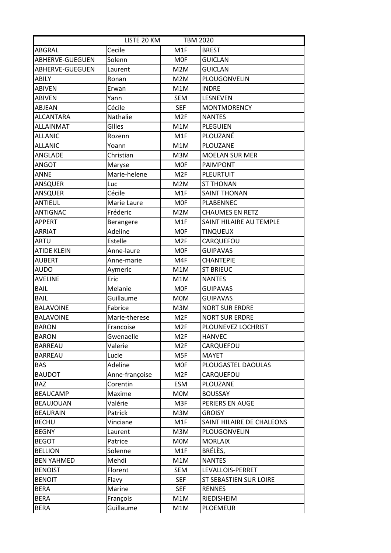| LISTE 20 KM<br><b>TBM 2020</b> |                |                 |                           |
|--------------------------------|----------------|-----------------|---------------------------|
| ABGRAL                         | Cecile         | M1F             | <b>BREST</b>              |
| ABHERVE-GUEGUEN                | Solenn         | <b>MOF</b>      | <b>GUICLAN</b>            |
| ABHERVE-GUEGUEN                | Laurent        | M2M             | <b>GUICLAN</b>            |
| ABILY                          | Ronan          | M2M             | PLOUGONVELIN              |
| <b>ABIVEN</b>                  | Erwan          | M1M             | <b>INDRE</b>              |
| <b>ABIVEN</b>                  | Yann           | <b>SEM</b>      | LESNEVEN                  |
| <b>ABJEAN</b>                  | Cécile         | <b>SEF</b>      | <b>MONTMORENCY</b>        |
| <b>ALCANTARA</b>               | Nathalie       | M <sub>2F</sub> | <b>NANTES</b>             |
| <b>ALLAINMAT</b>               | Gilles         | M1M             | <b>PLEGUIEN</b>           |
| <b>ALLANIC</b>                 | Rozenn         | M1F             | PLOUZANÉ                  |
| <b>ALLANIC</b>                 | Yoann          | M1M             | PLOUZANE                  |
| ANGLADE                        | Christian      | M3M             | <b>MOELAN SUR MER</b>     |
| ANGOT                          | Maryse         | <b>MOF</b>      | <b>PAIMPONT</b>           |
| <b>ANNE</b>                    | Marie-helene   | M <sub>2F</sub> | <b>PLEURTUIT</b>          |
| <b>ANSQUER</b>                 | Luc            | M2M             | <b>ST THONAN</b>          |
| ANSQUER                        | Cécile         | M1F             | <b>SAINT THONAN</b>       |
| <b>ANTIEUL</b>                 | Marie Laure    | <b>MOF</b>      | <b>PLABENNEC</b>          |
| <b>ANTIGNAC</b>                | Fréderic       | M2M             | <b>CHAUMES EN RETZ</b>    |
| <b>APPERT</b>                  | Berangere      | M1F             | SAINT HILAIRE AU TEMPLE   |
| <b>ARRIAT</b>                  | Adeline        | <b>MOF</b>      | <b>TINQUEUX</b>           |
| <b>ARTU</b>                    | Estelle        | M <sub>2F</sub> | CARQUEFOU                 |
| <b>ATIDE KLEIN</b>             | Anne-laure     | <b>MOF</b>      | <b>GUIPAVAS</b>           |
| <b>AUBERT</b>                  | Anne-marie     | M4F             | <b>CHANTEPIE</b>          |
| <b>AUDO</b>                    | Aymeric        | M1M             | <b>ST BRIEUC</b>          |
| <b>AVELINE</b>                 | Eric           | M1M             | <b>NANTES</b>             |
| <b>BAIL</b>                    | Melanie        | <b>MOF</b>      | <b>GUIPAVAS</b>           |
| <b>BAIL</b>                    | Guillaume      | <b>MOM</b>      | <b>GUIPAVAS</b>           |
| <b>BALAVOINE</b>               | Fabrice        | M3M             | <b>NORT SUR ERDRE</b>     |
| <b>BALAVOINE</b>               | Marie-therese  | M <sub>2F</sub> | <b>NORT SUR ERDRE</b>     |
| <b>BARON</b>                   | Francoise      | M <sub>2F</sub> | PLOUNEVEZ LOCHRIST        |
| <b>BARON</b>                   | Gwenaelle      | M <sub>2F</sub> | <b>HANVEC</b>             |
| <b>BARREAU</b>                 | Valerie        | M <sub>2F</sub> | CARQUEFOU                 |
| <b>BARREAU</b>                 | Lucie          | M5F             | <b>MAYET</b>              |
| <b>BAS</b>                     | Adeline        | <b>MOF</b>      | PLOUGASTEL DAOULAS        |
| <b>BAUDOT</b>                  | Anne-françoise | M <sub>2F</sub> | CARQUEFOU                 |
| <b>BAZ</b>                     | Corentin       | ESM             | PLOUZANE                  |
| <b>BEAUCAMP</b>                | Maxime         | M0M             | <b>BOUSSAY</b>            |
| <b>BEAUJOUAN</b>               | Valérie        | M3F             | PERIERS EN AUGE           |
| <b>BEAURAIN</b>                | Patrick        | M3M             | <b>GROISY</b>             |
| <b>BECHU</b>                   | Vinciane       | M1F             | SAINT HILAIRE DE CHALEONS |
| <b>BEGNY</b>                   | Laurent        | M3M             | PLOUGONVELIN              |
| <b>BEGOT</b>                   | Patrice        | M0M             | <b>MORLAIX</b>            |
| <b>BELLION</b>                 | Solenne        | M1F             | BRÉLÈS,                   |
| <b>BEN YAHMED</b>              | Mehdi          | M1M             | <b>NANTES</b>             |
| <b>BENOIST</b>                 | Florent        | SEM             | LEVALLOIS-PERRET          |
| <b>BENOIT</b>                  | Flavy          | <b>SEF</b>      | ST SEBASTIEN SUR LOIRE    |
| <b>BERA</b>                    | Marine         | <b>SEF</b>      | <b>RENNES</b>             |
| <b>BERA</b>                    | François       | M1M             | RIEDISHEIM                |
| <b>BERA</b>                    | Guillaume      | M1M             | <b>PLOEMEUR</b>           |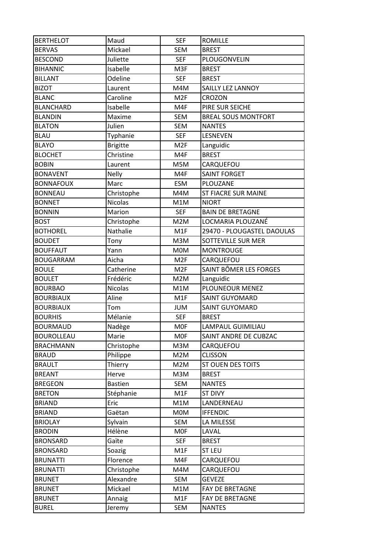| <b>BERTHELOT</b>  | Maud            | <b>SEF</b>       | <b>ROMILLE</b>             |
|-------------------|-----------------|------------------|----------------------------|
| <b>BERVAS</b>     | Mickael         | <b>SEM</b>       | <b>BREST</b>               |
| <b>BESCOND</b>    | Juliette        | <b>SEF</b>       | PLOUGONVELIN               |
| <b>BIHANNIC</b>   | Isabelle        | M3F              | <b>BREST</b>               |
| <b>BILLANT</b>    | Odeline         | <b>SEF</b>       | <b>BREST</b>               |
| <b>BIZOT</b>      | Laurent         | M4M              | SAILLY LEZ LANNOY          |
| <b>BLANC</b>      | Caroline        | M <sub>2F</sub>  | <b>CROZON</b>              |
| <b>BLANCHARD</b>  | Isabelle        | M4F              | PIRE SUR SEICHE            |
| <b>BLANDIN</b>    | Maxime          | <b>SEM</b>       | <b>BREAL SOUS MONTFORT</b> |
| <b>BLATON</b>     | Julien          | <b>SEM</b>       | <b>NANTES</b>              |
| <b>BLAU</b>       | Typhanie        | <b>SEF</b>       | LESNEVEN                   |
| <b>BLAYO</b>      | <b>Brigitte</b> | M <sub>2F</sub>  | Languidic                  |
| <b>BLOCHET</b>    | Christine       | M4F              | <b>BREST</b>               |
| <b>BOBIN</b>      | Laurent         | M5M              | CARQUEFOU                  |
| <b>BONAVENT</b>   | <b>Nelly</b>    | M4F              | <b>SAINT FORGET</b>        |
| <b>BONNAFOUX</b>  | Marc            | <b>ESM</b>       | PLOUZANE                   |
| <b>BONNEAU</b>    | Christophe      | M4M              | <b>ST FIACRE SUR MAINE</b> |
| <b>BONNET</b>     | <b>Nicolas</b>  | M1M              | <b>NIORT</b>               |
| <b>BONNIN</b>     | Marion          | <b>SEF</b>       | <b>BAIN DE BRETAGNE</b>    |
| <b>BOST</b>       | Christophe      | M2M              | LOCMARIA PLOUZANÉ          |
| <b>BOTHOREL</b>   | Nathalie        | M1F              | 29470 - PLOUGASTEL DAOULAS |
| <b>BOUDET</b>     | Tony            | M3M              | SOTTEVILLE SUR MER         |
| <b>BOUFFAUT</b>   | Yann            | M0M              | <b>MONTROUGE</b>           |
| <b>BOUGARRAM</b>  | Aicha           | M <sub>2F</sub>  | CARQUEFOU                  |
| <b>BOULE</b>      | Catherine       | M <sub>2F</sub>  | SAINT BÔMER LES FORGES     |
| <b>BOULET</b>     | Frédéric        | M2M              | Languidic                  |
| <b>BOURBAO</b>    | <b>Nicolas</b>  | M1M              | PLOUNEOUR MENEZ            |
| <b>BOURBIAUX</b>  | Aline           | M <sub>1</sub> F | <b>SAINT GUYOMARD</b>      |
| <b>BOURBIAUX</b>  | Tom             | JUM              | <b>SAINT GUYOMARD</b>      |
| <b>BOURHIS</b>    | Mélanie         | <b>SEF</b>       | <b>BREST</b>               |
| <b>BOURMAUD</b>   | Nadège          | M0F              | LAMPAUL GUIMILIAU          |
| <b>BOUROLLEAU</b> | Marie           | <b>MOF</b>       | SAINT ANDRE DE CUBZAC      |
| <b>BRACHMANN</b>  | Christophe      | M3M              | CARQUEFOU                  |
| <b>BRAUD</b>      | Philippe        | M2M              | <b>CLISSON</b>             |
| <b>BRAULT</b>     | Thierry         | M2M              | ST OUEN DES TOITS          |
| <b>BREANT</b>     | Herve           | M3M              | <b>BREST</b>               |
| <b>BREGEON</b>    | <b>Bastien</b>  | SEM              | <b>NANTES</b>              |
| <b>BRETON</b>     | Stéphanie       | M1F              | <b>ST DIVY</b>             |
| <b>BRIAND</b>     | Eric            | M1M              | LANDERNEAU                 |
| <b>BRIAND</b>     | Gaëtan          | <b>MOM</b>       | <b>IFFENDIC</b>            |
| <b>BRIOLAY</b>    | Sylvain         | SEM              | LA MILESSE                 |
| <b>BRODIN</b>     | Hélène          | <b>MOF</b>       | LAVAL                      |
| <b>BRONSARD</b>   | Gaïte           | <b>SEF</b>       | <b>BREST</b>               |
| <b>BRONSARD</b>   | Soazig          | M1F              | <b>ST LEU</b>              |
| <b>BRUNATTI</b>   | Florence        | M4F              | CARQUEFOU                  |
| <b>BRUNATTI</b>   | Christophe      | M4M              | CARQUEFOU                  |
| <b>BRUNET</b>     | Alexandre       | SEM              | <b>GEVEZE</b>              |
| <b>BRUNET</b>     | Mickael         | M1M              | <b>FAY DE BRETAGNE</b>     |
| <b>BRUNET</b>     | Annaig          | M1F              | FAY DE BRETAGNE            |
| <b>BUREL</b>      | Jeremy          | SEM              | <b>NANTES</b>              |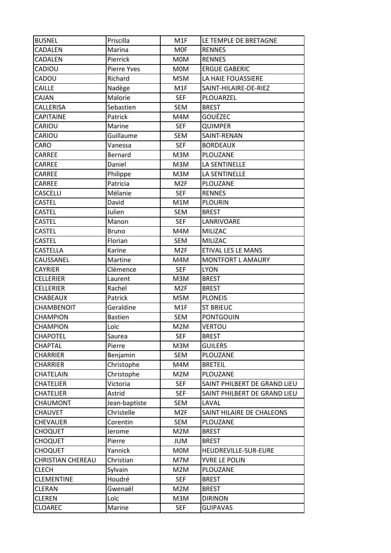| <b>BUSNEL</b>     | Priscilla          | M1F             | LE TEMPLE DE BRETAGNE        |
|-------------------|--------------------|-----------------|------------------------------|
| CADALEN           | Marina             | <b>MOF</b>      | <b>RENNES</b>                |
| CADALEN           | Pierrick           | <b>MOM</b>      | <b>RENNES</b>                |
| CADIOU            | <b>Pierre Yves</b> | <b>MOM</b>      | <b>ERGUE GABERIC</b>         |
| CADOU             | Richard            | M5M             | LA HAIE FOUASSIERE           |
| CAILLE            | Nadège             | M1F             | SAINT-HILAIRE-DE-RIEZ        |
| CAJAN             | Malorie            | <b>SEF</b>      | PLOUARZEL                    |
| CALLERISA         | Sebastien          | <b>SEM</b>      | <b>BREST</b>                 |
| CAPITAINE         | Patrick            | M4M             | GOUÉZEC                      |
| CARIOU            | Marine             | <b>SEF</b>      | <b>QUIMPER</b>               |
| CARIOU            | Guillaume          | <b>SEM</b>      | SAINT-RENAN                  |
| CARO              | Vanessa            | <b>SEF</b>      | <b>BORDEAUX</b>              |
| CARREE            | Bernard            | M3M             | PLOUZANE                     |
| CARREE            | Daniel             | M3M             | LA SENTINELLE                |
| CARREE            | Philippe           | M3M             | LA SENTINELLE                |
| CARREE            | Patricia           | M <sub>2F</sub> | <b>PLOUZANE</b>              |
| CASCELLI          | Mélanie            | <b>SEF</b>      | <b>RENNES</b>                |
| <b>CASTEL</b>     | David              | M1M             | <b>PLOURIN</b>               |
| CASTEL            | Julien             | <b>SEM</b>      | <b>BREST</b>                 |
| <b>CASTEL</b>     | Manon              | <b>SEF</b>      | LANRIVOARE                   |
| CASTEL            | <b>Bruno</b>       | M4M             | MILIZAC                      |
| CASTEL            | Florian            | SEM             | MILIZAC                      |
| CASTELLA          | Karine             | M <sub>2F</sub> | ETIVAL LES LE MANS           |
| CAUSSANEL         | Martine            | M4M             | MONTFORT L AMAURY            |
| <b>CAYRIER</b>    | Clémence           | <b>SEF</b>      | <b>LYON</b>                  |
| <b>CELLERIER</b>  | Laurent            | M3M             | <b>BREST</b>                 |
| <b>CELLERIER</b>  | Rachel             | M <sub>2F</sub> | <b>BREST</b>                 |
| CHABEAUX          | Patrick            | M5M             | <b>PLONEIS</b>               |
| CHAMBENOIT        | Geraldine          | M1F             | <b>ST BRIEUC</b>             |
| CHAMPION          | <b>Bastien</b>     | SEM             | <b>PONTGOUIN</b>             |
| <b>CHAMPION</b>   | Loïc               | M2M             | <b>VERTOU</b>                |
| <b>CHAPOTEL</b>   | Saurea             | <b>SEF</b>      | <b>BREST</b>                 |
| <b>CHAPTAL</b>    | Pierre             | M3M             | <b>GUILERS</b>               |
| CHARRIER          | Benjamin           | SEM             | PLOUZANE                     |
| <b>CHARRIER</b>   | Christophe         | M4M             | <b>BRETEIL</b>               |
| CHATELAIN         | Christophe         | M2M             | PLOUZANE                     |
| <b>CHATELIER</b>  | Victoria           | <b>SEF</b>      | SAINT PHILBERT DE GRAND LIEU |
| CHATELIER         | Astrid             | <b>SEF</b>      | SAINT PHILBERT DE GRAND LIEU |
| CHAUMONT          | Jean-baptiste      | <b>SEM</b>      | LAVAL                        |
| <b>CHAUVET</b>    | Christelle         | M <sub>2F</sub> | SAINT HILAIRE DE CHALEONS    |
| <b>CHEVALIER</b>  | Corentin           | SEM             | PLOUZANE                     |
| <b>CHOQUET</b>    | Jerome             | M2M             | <b>BREST</b>                 |
| <b>CHOQUET</b>    | Pierre             | JUM             | <b>BREST</b>                 |
| <b>CHOQUET</b>    | Yannick            | <b>MOM</b>      | HEUDREVILLE-SUR-EURE         |
| CHRISTIAN CHEREAU | Christian          | M7M             | YVRE LE POLIN                |
| <b>CLECH</b>      | Sylvain            | M2M             | PLOUZANE                     |
| <b>CLEMENTINE</b> | Houdré             | <b>SEF</b>      | <b>BREST</b>                 |
| <b>CLERAN</b>     | Gwenaël            | M2M             | <b>BREST</b>                 |
| <b>CLEREN</b>     | Loïc               | M3M             | <b>DIRINON</b>               |
| <b>CLOAREC</b>    | Marine             | <b>SEF</b>      | <b>GUIPAVAS</b>              |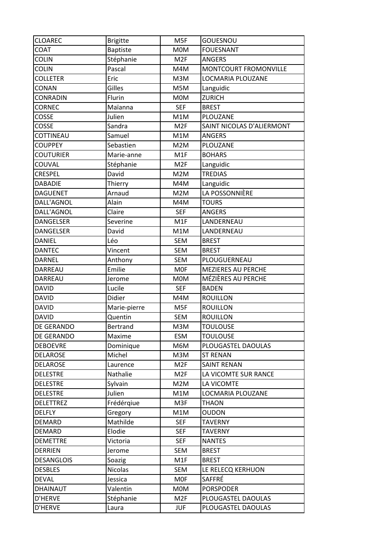| <b>CLOAREC</b>    | <b>Brigitte</b> | M5F             | <b>GOUESNOU</b>           |
|-------------------|-----------------|-----------------|---------------------------|
| <b>COAT</b>       | <b>Baptiste</b> | <b>MOM</b>      | <b>FOUESNANT</b>          |
| <b>COLIN</b>      | Stéphanie       | M <sub>2F</sub> | <b>ANGERS</b>             |
| <b>COLIN</b>      | Pascal          | M4M             | MONTCOURT FROMONVILLE     |
| <b>COLLETER</b>   | Eric            | M3M             | LOCMARIA PLOUZANE         |
| CONAN             | Gilles          | M5M             | Languidic                 |
| CONRADIN          | Flurin          | <b>MOM</b>      | <b>ZURICH</b>             |
| <b>CORNEC</b>     | Maïanna         | <b>SEF</b>      | <b>BREST</b>              |
| COSSE             | Julien          | M1M             | PLOUZANE                  |
| COSSE             | Sandra          | M <sub>2F</sub> | SAINT NICOLAS D'ALIERMONT |
| COTTINEAU         | Samuel          | M1M             | <b>ANGERS</b>             |
| <b>COUPPEY</b>    | Sebastien       | M2M             | PLOUZANE                  |
| <b>COUTURIER</b>  | Marie-anne      | M1F             | <b>BOHARS</b>             |
| COUVAL            | Stéphanie       | M <sub>2F</sub> | Languidic                 |
| <b>CRESPEL</b>    | David           | M2M             | <b>TREDIAS</b>            |
| <b>DABADIE</b>    | Thierry         | M4M             | Languidic                 |
| <b>DAGUENET</b>   | Arnaud          | M2M             | LA POSSONNIÈRE            |
| DALL'AGNOL        | Alain           | M4M             | <b>TOURS</b>              |
| DALL'AGNOL        | Claire          | <b>SEF</b>      | <b>ANGERS</b>             |
| <b>DANGELSER</b>  | Severine        | M1F             | LANDERNEAU                |
| <b>DANGELSER</b>  | David           | M1M             | LANDERNEAU                |
| DANIEL            | Léo             | <b>SEM</b>      | <b>BREST</b>              |
| <b>DANTEC</b>     | Vincent         | <b>SEM</b>      | <b>BREST</b>              |
| <b>DARNEL</b>     | Anthony         | <b>SEM</b>      | PLOUGUERNEAU              |
| DARREAU           | Emilie          | <b>MOF</b>      | <b>MEZIERES AU PERCHE</b> |
| DARREAU           | Jerome          | <b>MOM</b>      | MÉZIÈRES AU PERCHE        |
| <b>DAVID</b>      | Lucile          | <b>SEF</b>      | <b>BADEN</b>              |
| <b>DAVID</b>      | Didier          | M4M             | <b>ROUILLON</b>           |
| <b>DAVID</b>      | Marie-pierre    | M5F             | <b>ROUILLON</b>           |
| <b>DAVID</b>      | Quentin         | <b>SEM</b>      | <b>ROUILLON</b>           |
| DE GERANDO        | <b>Bertrand</b> | M3M             | <b>TOULOUSE</b>           |
| DE GERANDO        | Maxime          | <b>ESM</b>      | <b>TOULOUSE</b>           |
| <b>DEBOEVRE</b>   | Dominique       | M6M             | PLOUGASTEL DAOULAS        |
| <b>DELAROSE</b>   | Michel          | M3M             | <b>ST RENAN</b>           |
| <b>DELAROSE</b>   | Laurence        | M <sub>2F</sub> | <b>SAINT RENAN</b>        |
| <b>DELESTRE</b>   | Nathalie        | M <sub>2F</sub> | LA VICOMTE SUR RANCE      |
| <b>DELESTRE</b>   | Sylvain         | M2M             | LA VICOMTE                |
| <b>DELESTRE</b>   | Julien          | M1M             | LOCMARIA PLOUZANE         |
| <b>DELETTREZ</b>  | Frédérqiue      | M3F             | <b>THAON</b>              |
| <b>DELFLY</b>     | Gregory         | M1M             | <b>OUDON</b>              |
| DEMARD            | Mathilde        | <b>SEF</b>      | <b>TAVERNY</b>            |
| <b>DEMARD</b>     |                 |                 |                           |
|                   | Elodie          | <b>SEF</b>      | <b>TAVERNY</b>            |
| <b>DEMETTRE</b>   | Victoria        | <b>SEF</b>      | <b>NANTES</b>             |
| <b>DERRIEN</b>    | Jerome          | <b>SEM</b>      | <b>BREST</b>              |
| <b>DESANGLOIS</b> | Soazig          | M1F             | <b>BREST</b>              |
| <b>DESBLES</b>    | Nicolas         | SEM             | LE RELECQ KERHUON         |
| <b>DEVAL</b>      | Jessica         | <b>MOF</b>      | SAFFRÉ                    |
| DHAINAUT          | Valentin        | M0M             | <b>PORSPODER</b>          |
| D'HERVE           | Stéphanie       | M <sub>2F</sub> | PLOUGASTEL DAOULAS        |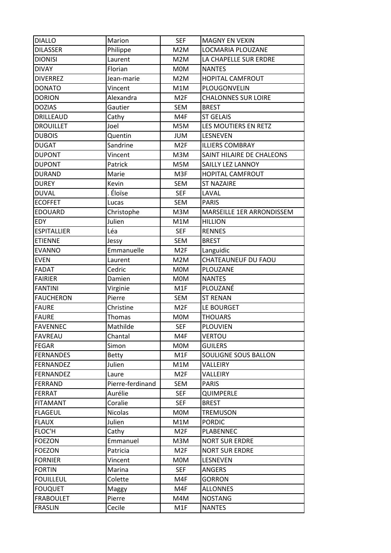| <b>DIALLO</b>      | Marion           | <b>SEF</b>       | <b>MAGNY EN VEXIN</b>      |
|--------------------|------------------|------------------|----------------------------|
| <b>DILASSER</b>    | Philippe         | M2M              | LOCMARIA PLOUZANE          |
| <b>DIONISI</b>     | Laurent          | M2M              | LA CHAPELLE SUR ERDRE      |
| <b>DIVAY</b>       | Florian          | <b>MOM</b>       | <b>NANTES</b>              |
| <b>DIVERREZ</b>    | Jean-marie       | M2M              | <b>HOPITAL CAMFROUT</b>    |
| <b>DONATO</b>      | Vincent          | M1M              | PLOUGONVELIN               |
| <b>DORION</b>      | Alexandra        | M <sub>2F</sub>  | <b>CHALONNES SUR LOIRE</b> |
| <b>DOZIAS</b>      | Gautier          | <b>SEM</b>       | <b>BREST</b>               |
| DRILLEAUD          | Cathy            | M4F              | <b>ST GELAIS</b>           |
| <b>DROUILLET</b>   | Joel             | M5M              | LES MOUTIERS EN RETZ       |
| <b>DUBOIS</b>      | Quentin          | <b>JUM</b>       | LESNEVEN                   |
| <b>DUGAT</b>       | Sandrine         | M <sub>2F</sub>  | <b>ILLIERS COMBRAY</b>     |
| <b>DUPONT</b>      | Vincent          | M3M              | SAINT HILAIRE DE CHALEONS  |
| <b>DUPONT</b>      | Patrick          | M5M              | SAILLY LEZ LANNOY          |
| <b>DURAND</b>      | Marie            | M3F              | HOPITAL CAMFROUT           |
| <b>DUREY</b>       | Kevin            | <b>SEM</b>       | <b>ST NAZAIRE</b>          |
| <b>DUVAL</b>       | Éloïse           | <b>SEF</b>       | LAVAL                      |
| <b>ECOFFET</b>     | Lucas            | <b>SEM</b>       | <b>PARIS</b>               |
| <b>EDOUARD</b>     | Christophe       | M3M              | MARSEILLE 1ER ARRONDISSEM  |
| <b>EDY</b>         | Julien           | M1M              | <b>HILLION</b>             |
| <b>ESPITALLIER</b> | Léa              | <b>SEF</b>       | <b>RENNES</b>              |
| <b>ETIENNE</b>     | Jessy            | <b>SEM</b>       | <b>BREST</b>               |
| <b>EVANNO</b>      | Emmanuelle       | M <sub>2F</sub>  | Languidic                  |
| <b>EVEN</b>        | Laurent          | M2M              | CHATEAUNEUF DU FAOU        |
| <b>FADAT</b>       | Cedric           | M0M              | PLOUZANE                   |
| <b>FAIRIER</b>     | Damien           | <b>MOM</b>       | <b>NANTES</b>              |
| <b>FANTINI</b>     | Virginie         | M1F              | PLOUZANÉ                   |
| <b>FAUCHERON</b>   | Pierre           | <b>SEM</b>       | <b>ST RENAN</b>            |
| <b>FAURE</b>       | Christine        | M <sub>2F</sub>  | LE BOURGET                 |
| <b>FAURE</b>       | <b>Thomas</b>    | <b>MOM</b>       | <b>THOUARS</b>             |
| <b>FAVENNEC</b>    | Mathilde         | <b>SEF</b>       | <b>PLOUVIEN</b>            |
| <b>FAVREAU</b>     | Chantal          | M4F              | <b>VERTOU</b>              |
| <b>FEGAR</b>       | Simon            | <b>MOM</b>       | <b>GUILERS</b>             |
| <b>FERNANDES</b>   | <b>Betty</b>     | M <sub>1</sub> F | SOULIGNE SOUS BALLON       |
| <b>FERNANDEZ</b>   | Julien           | M1M              | VALLEIRY                   |
| <b>FERNANDEZ</b>   | Laure            | M <sub>2F</sub>  | VALLEIRY                   |
| <b>FERRAND</b>     | Pierre-ferdinand | SEM              | <b>PARIS</b>               |
| <b>FERRAT</b>      | Aurélie          | <b>SEF</b>       | QUIMPERLE                  |
| <b>FITAMANT</b>    | Coralie          | <b>SEF</b>       | <b>BREST</b>               |
| <b>FLAGEUL</b>     | Nicolas          | <b>MOM</b>       | <b>TREMUSON</b>            |
| <b>FLAUX</b>       | Julien           | M1M              | <b>PORDIC</b>              |
| FLOC'H             | Cathy            | M <sub>2F</sub>  | PLABENNEC                  |
| <b>FOEZON</b>      | Emmanuel         | M3M              | <b>NORT SUR ERDRE</b>      |
| <b>FOEZON</b>      | Patricia         | M <sub>2F</sub>  | <b>NORT SUR ERDRE</b>      |
| <b>FORNIER</b>     | Vincent          | <b>MOM</b>       | LESNEVEN                   |
| <b>FORTIN</b>      | Marina           | <b>SEF</b>       | ANGERS                     |
| <b>FOUILLEUL</b>   | Colette          | M4F              | <b>GORRON</b>              |
| <b>FOUQUET</b>     | Maggy            | M4F              | <b>ALLONNES</b>            |
| <b>FRABOULET</b>   | Pierre           | M4M              | <b>NOSTANG</b>             |
| <b>FRASLIN</b>     | Cecile           | M1F              | <b>NANTES</b>              |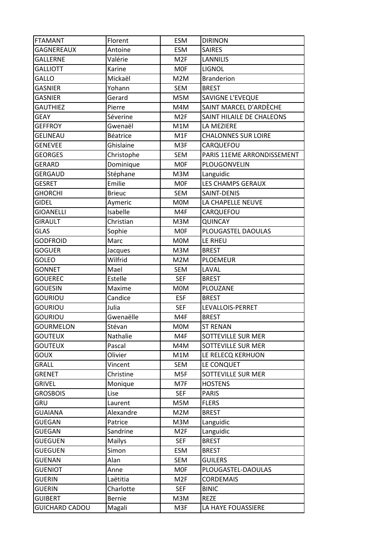| <b>FTAMANT</b>        | Florent       | <b>ESM</b>      | <b>DIRINON</b>             |
|-----------------------|---------------|-----------------|----------------------------|
| <b>GAGNEREAUX</b>     | Antoine       | <b>ESM</b>      | <b>SAIRES</b>              |
| <b>GALLERNE</b>       | Valérie       | M <sub>2F</sub> | <b>LANNILIS</b>            |
| <b>GALLIOTT</b>       | Karine        | <b>MOF</b>      | <b>LIGNOL</b>              |
| <b>GALLO</b>          | Mickaël       | M2M             | <b>Branderion</b>          |
| <b>GASNIER</b>        | Yohann        | <b>SEM</b>      | <b>BREST</b>               |
| <b>GASNIER</b>        | Gerard        | M5M             | SAVIGNE L'EVEQUE           |
| <b>GAUTHIEZ</b>       | Pierre        | M4M             | SAINT MARCEL D'ARDÈCHE     |
| <b>GEAY</b>           | Séverine      | M <sub>2F</sub> | SAINT HILAILE DE CHALEONS  |
| <b>GEFFROY</b>        | Gwenaël       | M1M             | LA MEZIERE                 |
| <b>GELINEAU</b>       | Béatrice      | M1F             | <b>CHALONNES SUR LOIRE</b> |
| <b>GENEVEE</b>        | Ghislaine     | M3F             | CARQUEFOU                  |
| <b>GEORGES</b>        | Christophe    | <b>SEM</b>      | PARIS 11EME ARRONDISSEMENT |
| <b>GERARD</b>         | Dominique     | <b>MOF</b>      | PLOUGONVELIN               |
| <b>GERGAUD</b>        | Stéphane      | M3M             | Languidic                  |
| <b>GESRET</b>         | Emilie        | <b>MOF</b>      | LES CHAMPS GERAUX          |
| <b>GHORCHI</b>        | <b>Brieuc</b> | <b>SEM</b>      | SAINT-DENIS                |
| <b>GIDEL</b>          | Aymeric       | M0M             | LA CHAPELLE NEUVE          |
| <b>GIOANELLI</b>      | Isabelle      | M4F             | CARQUEFOU                  |
| <b>GIRAULT</b>        | Christian     | M3M             | <b>QUINCAY</b>             |
| <b>GLAS</b>           | Sophie        | <b>MOF</b>      | PLOUGASTEL DAOULAS         |
| <b>GODFROID</b>       | Marc          | <b>MOM</b>      | LE RHEU                    |
| <b>GOGUER</b>         | Jacques       | M3M             | <b>BREST</b>               |
| <b>GOLEO</b>          | Wilfrid       | M2M             | <b>PLOEMEUR</b>            |
| <b>GONNET</b>         | Mael          | <b>SEM</b>      | LAVAL                      |
| <b>GOUEREC</b>        | Estelle       | <b>SEF</b>      | <b>BREST</b>               |
| <b>GOUESIN</b>        | Maxime        | <b>MOM</b>      | PLOUZANE                   |
| <b>GOURIOU</b>        | Candice       | <b>ESF</b>      | <b>BREST</b>               |
| <b>GOURIOU</b>        | Julia         | <b>SEF</b>      | LEVALLOIS-PERRET           |
| <b>GOURIOU</b>        | Gwenaëlle     | M4F             | <b>BREST</b>               |
| <b>GOURMELON</b>      | Stévan        | M0M             | <b>ST RENAN</b>            |
| <b>GOUTEUX</b>        | Nathalie      | M4F             | SOTTEVILLE SUR MER         |
| <b>GOUTEUX</b>        | Pascal        | M4M             | SOTTEVILLE SUR MER         |
| <b>GOUX</b>           | Olivier       | M1M             | LE RELECQ KERHUON          |
| <b>GRALL</b>          | Vincent       | <b>SEM</b>      | LE CONQUET                 |
| <b>GRENET</b>         | Christine     | M5F             | SOTTEVILLE SUR MER         |
| <b>GRIVEL</b>         | Monique       | M7F             | <b>HOSTENS</b>             |
| <b>GROSBOIS</b>       | Lise          | <b>SEF</b>      | <b>PARIS</b>               |
| <b>GRU</b>            | Laurent       | M5M             | <b>FLERS</b>               |
| <b>GUAIANA</b>        | Alexandre     | M2M             | <b>BREST</b>               |
| <b>GUEGAN</b>         | Patrice       | M3M             | Languidic                  |
| <b>GUEGAN</b>         | Sandrine      | M <sub>2F</sub> | Languidic                  |
| <b>GUEGUEN</b>        | Maïlys        | <b>SEF</b>      | <b>BREST</b>               |
| <b>GUEGUEN</b>        | Simon         | <b>ESM</b>      | <b>BREST</b>               |
| <b>GUENAN</b>         | Alan          | <b>SEM</b>      | <b>GUILERS</b>             |
| <b>GUENIOT</b>        | Anne          | <b>MOF</b>      | PLOUGASTEL-DAOULAS         |
| <b>GUERIN</b>         | Laëtitia      | M <sub>2F</sub> | <b>CORDEMAIS</b>           |
| <b>GUERIN</b>         | Charlotte     | <b>SEF</b>      | <b>BINIC</b>               |
| <b>GUIBERT</b>        | <b>Bernie</b> | M3M             | <b>REZE</b>                |
| <b>GUICHARD CADOU</b> | Magali        | M3F             | LA HAYE FOUASSIERE         |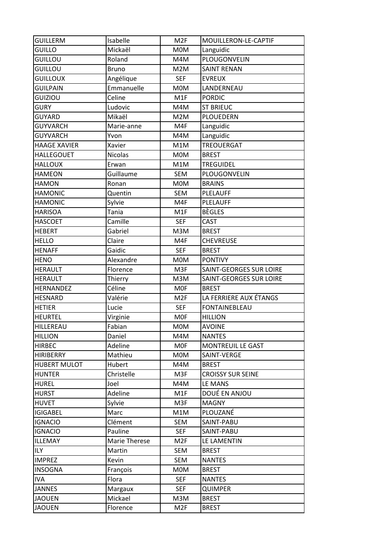| <b>GUILLERM</b>                | Isabelle            | M <sub>2F</sub>        | MOUILLERON-LE-CAPTIF         |
|--------------------------------|---------------------|------------------------|------------------------------|
| <b>GUILLO</b>                  | Mickaël             | M0M                    | Languidic                    |
| <b>GUILLOU</b>                 | Roland              | M4M                    | PLOUGONVELIN                 |
| <b>GUILLOU</b>                 | <b>Bruno</b>        | M2M                    | <b>SAINT RENAN</b>           |
| <b>GUILLOUX</b>                | Angélique           | <b>SEF</b>             | <b>EVREUX</b>                |
| <b>GUILPAIN</b>                | Emmanuelle          | <b>MOM</b>             | LANDERNEAU                   |
| <b>GUIZIOU</b>                 | Celine              | M1F                    | <b>PORDIC</b>                |
| <b>GURY</b>                    | Ludovic             | M4M                    | <b>ST BRIEUC</b>             |
| <b>GUYARD</b>                  | Mikaël              | M2M                    | <b>PLOUEDERN</b>             |
| <b>GUYVARCH</b>                | Marie-anne          | M4F                    | Languidic                    |
| <b>GUYVARCH</b>                | Yvon                | M4M                    | Languidic                    |
| <b>HAAGE XAVIER</b>            | Xavier              | M1M                    | <b>TREOUERGAT</b>            |
| <b>HALLEGOUET</b>              | <b>Nicolas</b>      | <b>MOM</b>             | <b>BREST</b>                 |
| <b>HALLOUX</b>                 | Erwan               | M1M                    | <b>TREGUIDEL</b>             |
| <b>HAMEON</b>                  | Guillaume           | <b>SEM</b>             | PLOUGONVELIN                 |
| <b>HAMON</b>                   | Ronan               | M0M                    | <b>BRAINS</b>                |
| <b>HAMONIC</b>                 | Quentin             | <b>SEM</b>             | <b>PLELAUFF</b>              |
| <b>HAMONIC</b>                 | Sylvie              | M4F                    | <b>PLELAUFF</b>              |
| <b>HARISOA</b>                 | Tania               | M1F                    | <b>BÈGLES</b>                |
| <b>HASCOET</b>                 | Camille             | <b>SEF</b>             | <b>CAST</b>                  |
| <b>HEBERT</b>                  | Gabriel             | M3M                    | <b>BREST</b>                 |
| <b>HELLO</b>                   | Claire              | M4F                    | <b>CHEVREUSE</b>             |
| <b>HENAFF</b>                  | Gaidic              | <b>SEF</b>             | <b>BREST</b>                 |
| <b>HENO</b>                    | Alexandre           | M0M                    | <b>PONTIVY</b>               |
| <b>HERAULT</b>                 | Florence            | M3F                    | SAINT-GEORGES SUR LOIRE      |
| <b>HERAULT</b>                 | Thierry             | M3M                    | SAINT-GEORGES SUR LOIRE      |
|                                |                     |                        |                              |
| <b>HERNANDEZ</b>               | Céline              | <b>MOF</b>             | <b>BREST</b>                 |
| <b>HESNARD</b>                 | Valérie             | M <sub>2F</sub>        | LA FERRIERE AUX ÉTANGS       |
| <b>HETIER</b>                  | Lucie               | <b>SEF</b>             | <b>FONTAINEBLEAU</b>         |
| <b>HEURTEL</b>                 | Virginie            | <b>MOF</b>             | <b>HILLION</b>               |
| HILLEREAU                      | Fabian              | <b>MOM</b>             | <b>AVOINE</b>                |
| <b>HILLION</b>                 | Daniel              | M4M                    | <b>NANTES</b>                |
| <b>HIRBEC</b>                  | Adeline             | <b>MOF</b>             | <b>MONTREUIL LE GAST</b>     |
| <b>HIRIBERRY</b>               | Mathieu             | <b>MOM</b>             | SAINT-VERGE                  |
| <b>HUBERT MULOT</b>            | Hubert              | M4M                    | <b>BREST</b>                 |
| <b>HUNTER</b>                  | Christelle          | M3F                    | <b>CROISSY SUR SEINE</b>     |
| <b>HUREL</b>                   | Joel                | M4M                    | LE MANS                      |
| <b>HURST</b>                   | Adeline             | M1F                    | DOUÉ EN ANJOU                |
| <b>HUVET</b>                   | Sylvie              | M3F                    | <b>MAGNY</b>                 |
| <b>IGIGABEL</b>                | Marc                | M1M                    | PLOUZANÉ                     |
| <b>IGNACIO</b>                 | Clément             | SEM                    | SAINT-PABU                   |
| <b>IGNACIO</b>                 | Pauline             | <b>SEF</b>             | SAINT-PABU                   |
| <b>ILLEMAY</b>                 | Marie Therese       | M <sub>2F</sub>        | LE LAMENTIN                  |
| <b>ILY</b>                     | Martin              | <b>SEM</b>             | <b>BREST</b>                 |
| <b>IMPREZ</b>                  | Kevin               | SEM                    | <b>NANTES</b>                |
| <b>INSOGNA</b>                 | François            | <b>MOM</b>             | <b>BREST</b>                 |
| <b>IVA</b>                     | Flora               | <b>SEF</b>             | <b>NANTES</b>                |
| <b>JANNES</b>                  | Margaux             | <b>SEF</b>             | <b>QUIMPER</b>               |
| <b>JAOUEN</b><br><b>JAOUEN</b> | Mickael<br>Florence | M3M<br>M <sub>2F</sub> | <b>BREST</b><br><b>BREST</b> |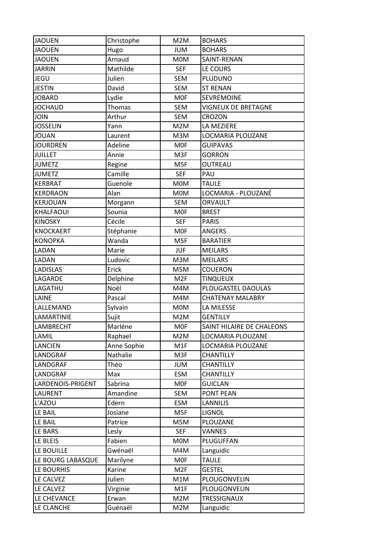| <b>JAOUEN</b>     | Christophe  | M2M             | <b>BOHARS</b>              |
|-------------------|-------------|-----------------|----------------------------|
| <b>JAOUEN</b>     | Hugo        | <b>JUM</b>      | <b>BOHARS</b>              |
| <b>JAOUEN</b>     | Arnaud      | <b>MOM</b>      | SAINT-RENAN                |
| <b>JARRIN</b>     | Mathilde    | <b>SEF</b>      | LE COURS                   |
| <b>JEGU</b>       | Julien      | <b>SEM</b>      | PLUDUNO                    |
| <b>JESTIN</b>     | David       | <b>SEM</b>      | <b>ST RENAN</b>            |
| <b>JOBARD</b>     | Lydie       | <b>MOF</b>      | <b>SEVREMOINE</b>          |
| <b>JOCHAUD</b>    | Thomas      | <b>SEM</b>      | <b>VIGNEUX DE BRETAGNE</b> |
| <b>JOIN</b>       | Arthur      | <b>SEM</b>      | <b>CROZON</b>              |
| <b>JOSSELIN</b>   | Yann        | M2M             | LA MEZIERE                 |
| <b>JOUAN</b>      | Laurent     | M3M             | LOCMARIA PLOUZANE          |
| <b>JOURDREN</b>   | Adeline     | <b>MOF</b>      | <b>GUIPAVAS</b>            |
| <b>JUILLET</b>    | Annie       | M3F             | <b>GORRON</b>              |
| <b>JUMETZ</b>     | Regine      | M5F             | OUTREAU                    |
| <b>JUMETZ</b>     | Camille     | <b>SEF</b>      | PAU                        |
| <b>KERBRAT</b>    | Guenole     | <b>MOM</b>      | <b>TAULE</b>               |
| <b>KERDRAON</b>   | Alan        | <b>MOM</b>      | LOCMARIA - PLOUZANÉ        |
| <b>KERJOUAN</b>   | Morgann     | <b>SEM</b>      | <b>ORVAULT</b>             |
| KHALFAOUI         | Sounia      | <b>MOF</b>      | <b>BREST</b>               |
| <b>KINOSKY</b>    | Cécile      | <b>SEF</b>      | <b>PARIS</b>               |
| <b>KNOCKAERT</b>  | Stéphanie   | <b>MOF</b>      | <b>ANGERS</b>              |
| <b>KONOPKA</b>    | Wanda       | M5F             | <b>BARATIER</b>            |
| LADAN             | Marie       | <b>JUF</b>      | <b>MEILARS</b>             |
| LADAN             | Ludovic     | M3M             | <b>MEILARS</b>             |
| <b>LADISLAS</b>   | Erick       | M5M             | <b>COUERON</b>             |
| LAGARDE           | Delphine    | M <sub>2F</sub> | <b>TINQUEUX</b>            |
| LAGATHU           | Noël        | M4M             | PLOUGASTEL DAOULAS         |
| LAINE             | Pascal      | M4M             | <b>CHATENAY MALABRY</b>    |
| LALLEMAND         | Sylvain     | <b>MOM</b>      | LA MILESSE                 |
| LAMARTINIE        | Sujit       | M2M             | <b>GENTILLY</b>            |
| LAMBRECHT         | Marléne     | <b>MOF</b>      | SAINT HILAIRE DE CHALEONS  |
| LAMIL             | Raphael     | M2M             | LOCMARIA PLOUZANE          |
| LANCIEN           | Anne Sophie | M1F             | LOCMARIA PLOUZANE          |
| LANDGRAF          | Nathalie    | M3F             | <b>CHANTILLY</b>           |
| LANDGRAF          | Théo        | <b>JUM</b>      | <b>CHANTILLY</b>           |
| LANDGRAF          | Max         | <b>ESM</b>      | CHANTILLY                  |
| LARDENOIS-PRIGENT | Sabrina     | <b>MOF</b>      | <b>GUICLAN</b>             |
| LAURENT           | Amandine    | SEM             | <b>PONT PEAN</b>           |
| L'AZOU            | Edern       | <b>ESM</b>      | <b>LANNILIS</b>            |
| LE BAIL           | Josiane     | M5F             | LIGNOL                     |
| LE BAIL           | Patrice     | M5M             | PLOUZANE                   |
| LE BARS           | Lesly       | <b>SEF</b>      | <b>VANNES</b>              |
| LE BLEIS          | Fabien      | M0M             | PLUGUFFAN                  |
| LE BOUILLE        | Gwénaël     | M4M             | Languidic                  |
| LE BOURG LABASQUE | Marilyne    | <b>MOF</b>      | <b>TAULE</b>               |
| LE BOURHIS        | Karine      | M <sub>2F</sub> | <b>GESTEL</b>              |
| LE CALVEZ         | Julien      | M1M             | PLOUGONVELIN               |
| LE CALVEZ         | Virginie    | M1F             | PLOUGONVELIN               |
| LE CHEVANCE       | Erwan       | M2M             | TRESSIGNAUX                |
| LE CLANCHE        | Guénaël     | M2M             | Languidic                  |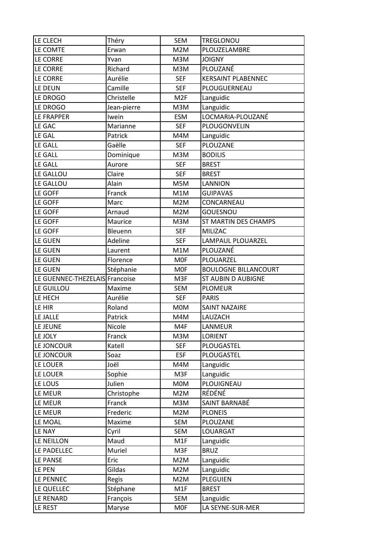| LE CLECH                       | Théry       | <b>SEM</b>      | TREGLONOU                   |
|--------------------------------|-------------|-----------------|-----------------------------|
| LE COMTE                       | Erwan       | M2M             | PLOUZELAMBRE                |
| LE CORRE                       | Yvan        | M3M             | <b>JOIGNY</b>               |
| LE CORRE                       | Richard     | M3M             | <b>PLOUZANÉ</b>             |
| LE CORRE                       | Aurélie     | <b>SEF</b>      | <b>KERSAINT PLABENNEC</b>   |
| LE DEUN                        | Camille     | <b>SEF</b>      | PLOUGUERNEAU                |
| LE DROGO                       | Christelle  | M <sub>2F</sub> | Languidic                   |
| LE DROGO                       | Jean-pierre | M3M             | Languidic                   |
| LE FRAPPER                     | Iwein       | <b>ESM</b>      | LOCMARIA-PLOUZANÉ           |
| LE GAC                         | Marianne    | <b>SEF</b>      | PLOUGONVELIN                |
| <b>LE GAL</b>                  | Patrick     | M4M             | Languidic                   |
| LE GALL                        | Gaëlle      | <b>SEF</b>      | PLOUZANE                    |
| LE GALL                        | Dominique   | M3M             | <b>BODILIS</b>              |
| LE GALL                        | Aurore      | <b>SEF</b>      | <b>BREST</b>                |
| LE GALLOU                      | Claire      | <b>SEF</b>      | <b>BREST</b>                |
| LE GALLOU                      | Alain       | M5M             | <b>LANNION</b>              |
| LE GOFF                        | Franck      | M1M             | <b>GUIPAVAS</b>             |
| LE GOFF                        | Marc        | M2M             | CONCARNEAU                  |
| <b>LE GOFF</b>                 | Arnaud      | M2M             | <b>GOUESNOU</b>             |
| LE GOFF                        | Maurice     | M3M             | ST MARTIN DES CHAMPS        |
| <b>LE GOFF</b>                 | Bleuenn     | <b>SEF</b>      | MILIZAC                     |
| LE GUEN                        | Adeline     | <b>SEF</b>      | LAMPAUL PLOUARZEL           |
| LE GUEN                        | Laurent     | M1M             | PLOUZANE                    |
| LE GUEN                        | Florence    | <b>MOF</b>      | PLOUARZEL                   |
| LE GUEN                        | Stéphanie   | <b>MOF</b>      | <b>BOULOGNE BILLANCOURT</b> |
|                                |             |                 |                             |
| LE GUENNEC-THEZELAIS Francoise |             | M3F             | ST AUBIN D AUBIGNE          |
| LE GUILLOU                     | Maxime      | <b>SEM</b>      | <b>PLOMEUR</b>              |
| LE HECH                        | Aurélie     | <b>SEF</b>      | <b>PARIS</b>                |
| LE HIR                         | Roland      | <b>MOM</b>      | <b>SAINT NAZAIRE</b>        |
| LE JALLE                       | Patrick     | M4M             | LAUZACH                     |
| LE JEUNE                       | Nicole      | M4F             | LANMEUR                     |
| LE JOLY                        | Franck      | M3M             | <b>LORIENT</b>              |
| LE JONCOUR                     | Katell      | <b>SEF</b>      | PLOUGASTEL                  |
| LE JONCOUR                     | Soaz        | <b>ESF</b>      | PLOUGASTEL                  |
| LE LOUER                       | Joël        | M4M             | Languidic                   |
| LE LOUER                       | Sophie      | M3F             | Languidic                   |
| LE LOUS                        | Julien      | M0M             | PLOUIGNEAU                  |
| LE MEUR                        | Christophe  | M2M             | RÉDÉNÉ                      |
| LE MEUR                        | Franck      | M3M             | SAINT BARNABÉ               |
| LE MEUR                        | Frederic    | M2M             | <b>PLONEIS</b>              |
| LE MOAL                        | Maxime      | SEM             | PLOUZANE                    |
| <b>LE NAY</b>                  | Cyril       | SEM             | LOUARGAT                    |
| LE NEILLON                     | Maud        | M1F             | Languidic                   |
| LE PADELLEC                    | Muriel      | M3F             | <b>BRUZ</b>                 |
| LE PANSE                       | Eric        | M2M             | Languidic                   |
| LE PEN                         | Gildas      | M2M             | Languidic                   |
| LE PENNEC                      | Regis       | M2M             | <b>PLEGUIEN</b>             |
| LE QUELLEC                     | Stéphane    | M1F             | <b>BREST</b>                |
| LE RENARD                      | François    | <b>SEM</b>      | Languidic                   |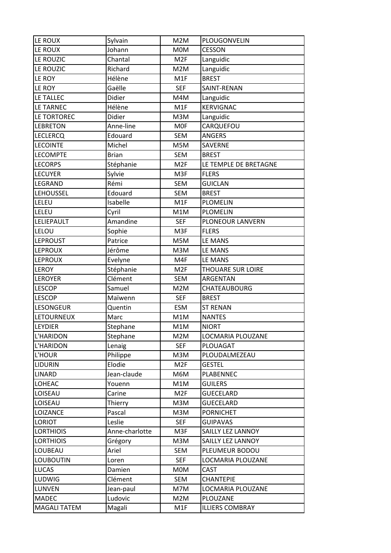| LE ROUX             | Sylvain        | M2M             | PLOUGONVELIN           |
|---------------------|----------------|-----------------|------------------------|
| LE ROUX             | Johann         | <b>MOM</b>      | <b>CESSON</b>          |
| LE ROUZIC           | Chantal        | M <sub>2F</sub> | Languidic              |
| LE ROUZIC           | Richard        | M2M             | Languidic              |
| LE ROY              | Hélène         | M1F             | <b>BREST</b>           |
| LE ROY              | Gaëlle         | <b>SEF</b>      | SAINT-RENAN            |
| LE TALLEC           | Didier         | M4M             | Languidic              |
| LE TARNEC           | Hélène         | M1F             | <b>KERVIGNAC</b>       |
| LE TORTOREC         | <b>Didier</b>  | M3M             | Languidic              |
| <b>LEBRETON</b>     | Anne-line      | <b>MOF</b>      | CARQUEFOU              |
| <b>LECLERCQ</b>     | Edouard        | SEM             | <b>ANGERS</b>          |
| <b>LECOINTE</b>     | Michel         | M5M             | SAVERNE                |
| <b>LECOMPTE</b>     | <b>Brian</b>   | <b>SEM</b>      | <b>BREST</b>           |
| <b>LECORPS</b>      | Stéphanie      | M <sub>2F</sub> | LE TEMPLE DE BRETAGNE  |
| <b>LECUYER</b>      | Sylvie         | M3F             | <b>FLERS</b>           |
| LEGRAND             | Rémi           | <b>SEM</b>      | <b>GUICLAN</b>         |
| <b>LEHOUSSEL</b>    | Edouard        | <b>SEM</b>      | <b>BREST</b>           |
| LELEU               | Isabelle       | M1F             | <b>PLOMELIN</b>        |
| LELEU               | Cyril          | M1M             | <b>PLOMELIN</b>        |
| LELIEPAULT          | Amandine       | <b>SEF</b>      | PLONEOUR LANVERN       |
| LELOU               | Sophie         | M3F             | <b>FLERS</b>           |
| <b>LEPROUST</b>     | Patrice        | M5M             | LE MANS                |
| <b>LEPROUX</b>      | Jérôme         | M3M             | LE MANS                |
| <b>LEPROUX</b>      | Evelyne        | M4F             | LE MANS                |
| <b>LEROY</b>        | Stéphanie      | M <sub>2F</sub> | THOUARE SUR LOIRE      |
| <b>LEROYER</b>      | Clément        | SEM             | ARGENTAN               |
| <b>LESCOP</b>       | Samuel         | M2M             | <b>CHATEAUBOURG</b>    |
| <b>LESCOP</b>       | Maïwenn        | <b>SEF</b>      | <b>BREST</b>           |
| LESONGEUR           | Quentin        | <b>ESM</b>      | <b>ST RENAN</b>        |
| <b>LETOURNEUX</b>   | Marc           | M1M             | <b>NANTES</b>          |
| <b>LEYDIER</b>      | Stephane       | M1M             | <b>NIORT</b>           |
| L'HARIDON           | Stephane       | M2M             | LOCMARIA PLOUZANE      |
| L'HARIDON           | Lenaig         | <b>SEF</b>      | PLOUAGAT               |
| L'HOUR              | Philippe       | M3M             | PLOUDALMEZEAU          |
| <b>LIDURIN</b>      | Elodie         | M <sub>2F</sub> | <b>GESTEL</b>          |
| <b>LINARD</b>       | Jean-claude    | M6M             | <b>PLABENNEC</b>       |
| LOHEAC              | Youenn         | M1M             | <b>GUILERS</b>         |
| LOISEAU             | Carine         | M <sub>2F</sub> | <b>GUECELARD</b>       |
| LOISEAU             | Thierry        | M3M             | <b>GUECELARD</b>       |
| LOIZANCE            | Pascal         | M3M             | <b>PORNICHET</b>       |
| LORIOT              | Leslie         | <b>SEF</b>      | <b>GUIPAVAS</b>        |
| <b>LORTHIOIS</b>    | Anne-charlotte | M3F             | SAILLY LEZ LANNOY      |
| <b>LORTHIOIS</b>    | Grégory        | M3M             | SAILLY LEZ LANNOY      |
| LOUBEAU             | Ariel          | SEM             | PLEUMEUR BODOU         |
| <b>LOUBOUTIN</b>    | Loren          | <b>SEF</b>      | LOCMARIA PLOUZANE      |
| <b>LUCAS</b>        | Damien         | <b>MOM</b>      | <b>CAST</b>            |
| LUDWIG              | Clément        | SEM             | <b>CHANTEPIE</b>       |
| LUNVEN              | Jean-paul      | M7M             | LOCMARIA PLOUZANE      |
| <b>MADEC</b>        | Ludovic        | M2M             | PLOUZANE               |
| <b>MAGALI TATEM</b> | Magali         | M1F             | <b>ILLIERS COMBRAY</b> |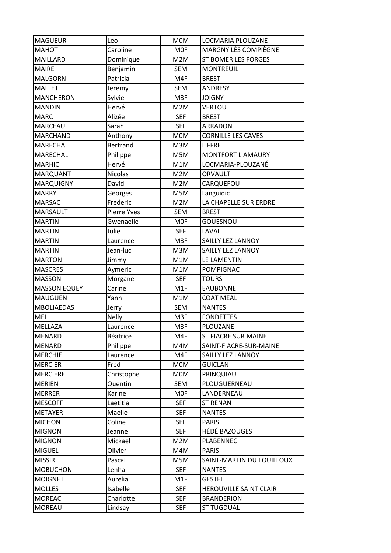| <b>MAGUEUR</b>      | Leo                | <b>MOM</b> | LOCMARIA PLOUZANE          |
|---------------------|--------------------|------------|----------------------------|
| <b>MAHOT</b>        | Caroline           | <b>MOF</b> | MARGNY LÈS COMPIÈGNE       |
| <b>MAILLARD</b>     | Dominique          | M2M        | <b>ST BOMER LES FORGES</b> |
| <b>MAIRE</b>        | Benjamin           | <b>SEM</b> | <b>MONTREUIL</b>           |
| <b>MALGORN</b>      | Patricia           | M4F        | <b>BREST</b>               |
| <b>MALLET</b>       | Jeremy             | <b>SEM</b> | <b>ANDRESY</b>             |
| <b>MANCHERON</b>    | Sylvie             | M3F        | <b>JOIGNY</b>              |
| <b>MANDIN</b>       | Hervé              | M2M        | <b>VERTOU</b>              |
| <b>MARC</b>         | Alizée             | <b>SEF</b> | <b>BREST</b>               |
| <b>MARCEAU</b>      | Sarah              | <b>SEF</b> | ARRADON                    |
| <b>MARCHAND</b>     | Anthony            | <b>MOM</b> | <b>CORNILLE LES CAVES</b>  |
| MARECHAL            | <b>Bertrand</b>    | M3M        | <b>LIFFRE</b>              |
| <b>MARECHAL</b>     | Philippe           | M5M        | MONTFORT L AMAURY          |
| <b>MARHIC</b>       | Hervé              | M1M        | LOCMARIA-PLOUZANÉ          |
| <b>MARQUANT</b>     | <b>Nicolas</b>     | M2M        | ORVAULT                    |
| <b>MARQUIGNY</b>    | David              | M2M        | CARQUEFOU                  |
| <b>MARRY</b>        | Georges            | M5M        | Languidic                  |
| <b>MARSAC</b>       | Frederic           | M2M        | LA CHAPELLE SUR ERDRE      |
| <b>MARSAULT</b>     | <b>Pierre Yves</b> | <b>SEM</b> | <b>BREST</b>               |
| <b>MARTIN</b>       | Gwenaelle          | <b>MOF</b> | <b>GOUESNOU</b>            |
| <b>MARTIN</b>       | Julie              | <b>SEF</b> | LAVAL                      |
| <b>MARTIN</b>       | Laurence           | M3F        | SAILLY LEZ LANNOY          |
| <b>MARTIN</b>       | Jean-luc           | M3M        | SAILLY LEZ LANNOY          |
| <b>MARTON</b>       | Jimmy              | M1M        | LE LAMENTIN                |
| <b>MASCRES</b>      | Aymeric            | M1M        | POMPIGNAC                  |
| <b>MASSON</b>       | Morgane            | <b>SEF</b> | <b>TOURS</b>               |
| <b>MASSON EQUEY</b> | Carine             | M1F        | <b>EAUBONNE</b>            |
| <b>MAUGUEN</b>      | Yann               | M1M        | <b>COAT MEAL</b>           |
| <b>MBOLIAEDAS</b>   | Jerry              | <b>SEM</b> | <b>NANTES</b>              |
| <b>MEL</b>          | <b>Nelly</b>       | M3F        | <b>FONDETTES</b>           |
| MELLAZA             | Laurence           | M3F        | PLOUZANE                   |
| <b>MENARD</b>       | Béatrice           | M4F        | <b>ST FIACRE SUR MAINE</b> |
| <b>MENARD</b>       | Philippe           | M4M        | SAINT-FIACRE-SUR-MAINE     |
| <b>MERCHIE</b>      | Laurence           | M4F        | SAILLY LEZ LANNOY          |
| <b>MERCIER</b>      | Fred               | <b>MOM</b> | <b>GUICLAN</b>             |
| <b>MERCIERE</b>     | Christophe         | <b>MOM</b> | PRINQUIAU                  |
| <b>MERIEN</b>       | Quentin            | <b>SEM</b> | PLOUGUERNEAU               |
| <b>MERRER</b>       | Karine             | <b>MOF</b> | LANDERNEAU                 |
| <b>MESCOFF</b>      | Laetitia           | <b>SEF</b> | <b>ST RENAN</b>            |
| <b>METAYER</b>      | Maelle             | <b>SEF</b> | <b>NANTES</b>              |
| <b>MICHON</b>       | Coline             | <b>SEF</b> | <b>PARIS</b>               |
| <b>MIGNON</b>       | Jeanne             | <b>SEF</b> | <b>HÉDÉ BAZOUGES</b>       |
| <b>MIGNON</b>       | Mickael            | M2M        | PLABENNEC                  |
| <b>MIGUEL</b>       | Olivier            | M4M        | <b>PARIS</b>               |
| <b>MISSIR</b>       | Pascal             | M5M        | SAINT-MARTIN DU FOUILLOUX  |
| <b>MOBUCHON</b>     | Lenha              | <b>SEF</b> | <b>NANTES</b>              |
| <b>MOIGNET</b>      | Aurelia            | M1F        | <b>GESTEL</b>              |
| <b>MOLLES</b>       | Isabelle           | <b>SEF</b> | HEROUVILLE SAINT CLAIR     |
| <b>MOREAC</b>       | Charlotte          | <b>SEF</b> | <b>BRANDERION</b>          |
| <b>MOREAU</b>       | Lindsay            | <b>SEF</b> | <b>ST TUGDUAL</b>          |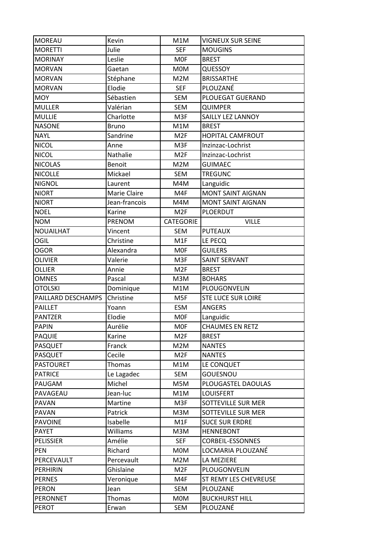| <b>MOREAU</b>      | Kevin         | M1M             | <b>VIGNEUX SUR SEINE</b>  |
|--------------------|---------------|-----------------|---------------------------|
| <b>MORETTI</b>     | Julie         | <b>SEF</b>      | <b>MOUGINS</b>            |
| <b>MORINAY</b>     | Leslie        | <b>MOF</b>      | <b>BREST</b>              |
| <b>MORVAN</b>      | Gaetan        | <b>MOM</b>      | QUESSOY                   |
| <b>MORVAN</b>      | Stéphane      | M2M             | <b>BRISSARTHE</b>         |
| <b>MORVAN</b>      | Elodie        | <b>SEF</b>      | PLOUZANÉ                  |
| <b>MOY</b>         | Sébastien     | <b>SEM</b>      | PLOUEGAT GUERAND          |
| <b>MULLER</b>      | Valérian      | <b>SEM</b>      | <b>QUIMPER</b>            |
| <b>MULLIE</b>      | Charlotte     | M3F             | <b>SAILLY LEZ LANNOY</b>  |
| <b>NASONE</b>      | <b>Bruno</b>  | M1M             | <b>BREST</b>              |
| <b>NAYL</b>        | Sandrine      | M <sub>2F</sub> | <b>HOPITAL CAMFROUT</b>   |
| <b>NICOL</b>       | Anne          | M3F             | Inzinzac-Lochrist         |
| <b>NICOL</b>       | Nathalie      | M <sub>2F</sub> | Inzinzac-Lochrist         |
| <b>NICOLAS</b>     | <b>Benoit</b> | M2M             | <b>GUIMAEC</b>            |
| <b>NICOLLE</b>     | Mickael       | <b>SEM</b>      | <b>TREGUNC</b>            |
| <b>NIGNOL</b>      | Laurent       | M4M             | Languidic                 |
| <b>NIORT</b>       | Marie Claire  | M4F             | <b>MONT SAINT AIGNAN</b>  |
| <b>NIORT</b>       | Jean-francois | M4M             | <b>MONT SAINT AIGNAN</b>  |
| <b>NOEL</b>        | Karine        | M <sub>2F</sub> | PLOERDUT                  |
| <b>NOM</b>         | PRENOM        | CATEGORIE       | <b>VILLE</b>              |
| NOUAILHAT          | Vincent       | <b>SEM</b>      | <b>PUTEAUX</b>            |
| OGIL               | Christine     | M1F             | LE PECQ                   |
| <b>OGOR</b>        | Alexandra     | <b>MOF</b>      | <b>GUILERS</b>            |
| OLIVIER            | Valerie       | M3F             | <b>SAINT SERVANT</b>      |
| <b>OLLIER</b>      | Annie         | M <sub>2F</sub> | <b>BREST</b>              |
| <b>OMNES</b>       | Pascal        | M3M             | <b>BOHARS</b>             |
| <b>OTOLSKI</b>     | Dominique     | M1M             | PLOUGONVELIN              |
| PAILLARD DESCHAMPS | Christine     | M5F             | <b>STE LUCE SUR LOIRE</b> |
| <b>PAILLET</b>     | Yoann         | <b>ESM</b>      | <b>ANGERS</b>             |
| <b>PANTZER</b>     | Elodie        | <b>MOF</b>      | Languidic                 |
| <b>PAPIN</b>       | Aurélie       | M0F             | <b>CHAUMES EN RETZ</b>    |
| <b>PAQUIE</b>      | Karine        | M <sub>2F</sub> | <b>BREST</b>              |
| <b>PASQUET</b>     | Franck        | M2M             | <b>NANTES</b>             |
| <b>PASQUET</b>     | Cecile        | M <sub>2F</sub> | <b>NANTES</b>             |
| <b>PASTOURET</b>   | <b>Thomas</b> | M1M             | LE CONQUET                |
| <b>PATRICE</b>     | Le Lagadec    | SEM             | GOUESNOU                  |
| PAUGAM             | Michel        | M5M             | PLOUGASTEL DAOULAS        |
| PAVAGEAU           | Jean-luc      | M1M             | <b>LOUISFERT</b>          |
| PAVAN              | Martine       | M3F             | SOTTEVILLE SUR MER        |
| PAVAN              | Patrick       | M3M             | <b>SOTTEVILLE SUR MER</b> |
| <b>PAVOINE</b>     | Isabelle      | M1F             | <b>SUCE SUR ERDRE</b>     |
| <b>PAYET</b>       | Williams      | M3M             | <b>HENNEBONT</b>          |
| <b>PELISSIER</b>   | Amélie        | <b>SEF</b>      | <b>CORBEIL-ESSONNES</b>   |
| PEN                | Richard       | <b>MOM</b>      | LOCMARIA PLOUZANÉ         |
| PERCEVAULT         | Percevault    | M2M             | LA MEZIERE                |
| <b>PERHIRIN</b>    | Ghislaine     | M <sub>2F</sub> | PLOUGONVELIN              |
| <b>PERNES</b>      | Veronique     | M4F             | ST REMY LES CHEVREUSE     |
| <b>PERON</b>       | Jean          | <b>SEM</b>      | PLOUZANE                  |
| <b>PERONNET</b>    | Thomas        | M0M             | <b>BUCKHURST HILL</b>     |
| <b>PEROT</b>       | Erwan         | <b>SEM</b>      | PLOUZANÉ                  |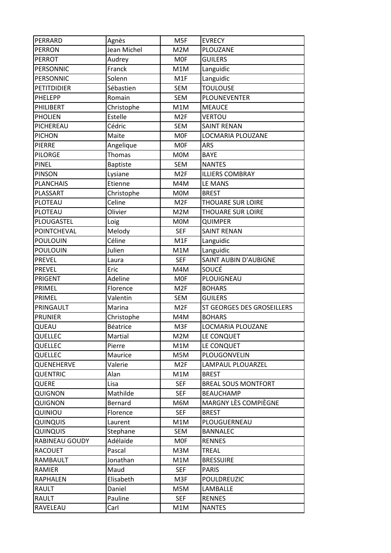| PERRARD            | Agnès           | M5F             | <b>EVRECY</b>               |
|--------------------|-----------------|-----------------|-----------------------------|
| PERRON             | Jean Michel     | M2M             | PLOUZANE                    |
| <b>PERROT</b>      | Audrey          | <b>MOF</b>      | <b>GUILERS</b>              |
| PERSONNIC          | Franck          | M1M             | Languidic                   |
| PERSONNIC          | Solenn          | M1F             | Languidic                   |
| <b>PETITDIDIER</b> | Sébastien       | <b>SEM</b>      | <b>TOULOUSE</b>             |
| PHELEPP            | Romain          | <b>SEM</b>      | PLOUNEVENTER                |
| PHILIBERT          | Christophe      | M1M             | <b>MEAUCE</b>               |
| <b>PHOLIEN</b>     | Estelle         | M <sub>2F</sub> | <b>VERTOU</b>               |
| PICHEREAU          | Cédric          | <b>SEM</b>      | <b>SAINT RENAN</b>          |
| <b>PICHON</b>      | Maite           | <b>MOF</b>      | LOCMARIA PLOUZANE           |
| <b>PIERRE</b>      | Angelique       | <b>MOF</b>      | <b>ARS</b>                  |
| <b>PILORGE</b>     | Thomas          | M0M             | <b>BAYE</b>                 |
| <b>PINEL</b>       | <b>Baptiste</b> | <b>SEM</b>      | <b>NANTES</b>               |
| <b>PINSON</b>      | Lysiane         | M <sub>2F</sub> | <b>ILLIERS COMBRAY</b>      |
| <b>PLANCHAIS</b>   | Etienne         | M4M             | LE MANS                     |
| PLASSART           | Christophe      | <b>MOM</b>      | <b>BREST</b>                |
| PLOTEAU            | Celine          | M <sub>2F</sub> | THOUARE SUR LOIRE           |
| PLOTEAU            | Olivier         | M2M             | THOUARE SUR LOIRE           |
| PLOUGASTEL         | Loig            | <b>MOM</b>      | <b>QUIMPER</b>              |
| POINTCHEVAL        | Melody          | <b>SEF</b>      | <b>SAINT RENAN</b>          |
| <b>POULOUIN</b>    | Céline          | M1F             | Languidic                   |
| <b>POULOUIN</b>    | Julien          | M1M             | Languidic                   |
| PREVEL             | Laura           | <b>SEF</b>      | SAINT AUBIN D'AUBIGNE       |
| <b>PREVEL</b>      | Eric            | M4M             | SOUCÉ                       |
| PRIGENT            | Adeline         | <b>MOF</b>      | PLOUIGNEAU                  |
| PRIMEL             | Florence        | M <sub>2F</sub> | <b>BOHARS</b>               |
| PRIMEL             | Valentin        | SEM             | <b>GUILERS</b>              |
| PRINGAULT          | Marina          | M <sub>2F</sub> | ST GEORGES DES GROSEILLERS  |
| <b>PRUNIER</b>     | Christophe      | M4M             | <b>BOHARS</b>               |
| QUEAU              | Béatrice        | M3F             | LOCMARIA PLOUZANE           |
| QUELLEC            | Martial         | M2M             | LE CONQUET                  |
| QUELLEC            | Pierre          | M1M             | LE CONQUET                  |
| QUELLEC            | Maurice         | M5M             | PLOUGONVELIN                |
| QUENEHERVE         | Valerie         | M <sub>2F</sub> | LAMPAUL PLOUARZEL           |
| <b>QUENTRIC</b>    | Alan            | M1M             | <b>BREST</b>                |
| QUERE              | Lisa            | <b>SEF</b>      | <b>BREAL SOUS MONTFORT</b>  |
| QUIGNON            | Mathilde        | <b>SEF</b>      | <b>BEAUCHAMP</b>            |
| QUIGNON            | Bernard         | M6M             | <b>MARGNY LÈS COMPIÈGNE</b> |
| QUINIOU            | Florence        | <b>SEF</b>      | <b>BREST</b>                |
| QUINQUIS           | Laurent         | M1M             | PLOUGUERNEAU                |
| <b>QUINQUIS</b>    | Stephane        | SEM             | <b>BANNALEC</b>             |
| RABINEAU GOUDY     | Adélaïde        | <b>MOF</b>      | <b>RENNES</b>               |
| <b>RACOUET</b>     | Pascal          | M3M             | <b>TREAL</b>                |
| RAMBAULT           | Jonathan        | M1M             | <b>BRESSUIRE</b>            |
| RAMIER             | Maud            | <b>SEF</b>      | <b>PARIS</b>                |
| RAPHALEN           | Elisabeth       | M3F             | POULDREUZIC                 |
| RAULT              | Daniel          | M5M             | LAMBALLE                    |
| RAULT              | Pauline         | <b>SEF</b>      | <b>RENNES</b>               |
|                    |                 |                 |                             |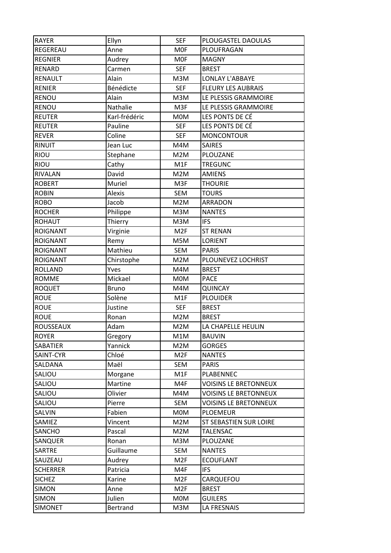| <b>RAYER</b>     | Ellyn         | <b>SEF</b>       | PLOUGASTEL DAOULAS           |
|------------------|---------------|------------------|------------------------------|
| REGEREAU         | Anne          | <b>MOF</b>       | PLOUFRAGAN                   |
| <b>REGNIER</b>   | Audrey        | <b>MOF</b>       | <b>MAGNY</b>                 |
| <b>RENARD</b>    | Carmen        | <b>SEF</b>       | <b>BREST</b>                 |
| RENAULT          | Alain         | M3M              | <b>LONLAY L'ABBAYE</b>       |
| <b>RENIER</b>    | Bénédicte     | <b>SEF</b>       | <b>FLEURY LES AUBRAIS</b>    |
| RENOU            | Alain         | M3M              | LE PLESSIS GRAMMOIRE         |
| <b>RENOU</b>     | Nathalie      | M3F              | LE PLESSIS GRAMMOIRE         |
| <b>REUTER</b>    | Karl-frédéric | <b>MOM</b>       | LES PONTS DE CÉ              |
| <b>REUTER</b>    | Pauline       | <b>SEF</b>       | LES PONTS DE CÉ              |
| <b>REVER</b>     | Coline        | <b>SEF</b>       | <b>MONCONTOUR</b>            |
| RINUIT           | Jean Luc      | M4M              | <b>SAIRES</b>                |
| <b>RIOU</b>      | Stephane      | M2M              | PLOUZANE                     |
| <b>RIOU</b>      | Cathy         | M <sub>1</sub> F | <b>TREGUNC</b>               |
| RIVALAN          | David         | M2M              | <b>AMIENS</b>                |
| <b>ROBERT</b>    | Muriel        | M3F              | <b>THOURIE</b>               |
| <b>ROBIN</b>     | Alexis        | <b>SEM</b>       | <b>TOURS</b>                 |
| <b>ROBO</b>      | Jacob         | M2M              | <b>ARRADON</b>               |
| <b>ROCHER</b>    | Philippe      | M3M              | <b>NANTES</b>                |
| <b>ROHAUT</b>    | Thierry       | M3M              | <b>IFS</b>                   |
| <b>ROIGNANT</b>  | Virginie      | M <sub>2F</sub>  | <b>ST RENAN</b>              |
| <b>ROIGNANT</b>  | Remy          | M5M              | <b>LORIENT</b>               |
| <b>ROIGNANT</b>  | Mathieu       | <b>SEM</b>       | <b>PARIS</b>                 |
| <b>ROIGNANT</b>  | Chirstophe    | M2M              | PLOUNEVEZ LOCHRIST           |
| <b>ROLLAND</b>   | Yves          | M4M              | <b>BREST</b>                 |
| <b>ROMME</b>     | Mickael       | <b>MOM</b>       | <b>PACE</b>                  |
| <b>ROQUET</b>    | <b>Bruno</b>  | M4M              | <b>QUINCAY</b>               |
| <b>ROUE</b>      | Solène        | M1F              | <b>PLOUIDER</b>              |
| <b>ROUE</b>      | Justine       | <b>SEF</b>       | <b>BREST</b>                 |
| <b>ROUE</b>      | Ronan         | M2M              | <b>BREST</b>                 |
| <b>ROUSSEAUX</b> | Adam          | M2M              | LA CHAPELLE HEULIN           |
| <b>ROYER</b>     | Gregory       | M1M              | <b>BAUVIN</b>                |
| SABATIER         | Yannick       | M2M              | <b>GORGES</b>                |
| SAINT-CYR        | Chloé         | M <sub>2F</sub>  | <b>NANTES</b>                |
| SALDANA          | Maël          | SEM              | <b>PARIS</b>                 |
| SALIOU           | Morgane       | M1F              | PLABENNEC                    |
| SALIOU           | Martine       | M4F              | <b>VOISINS LE BRETONNEUX</b> |
| SALIOU           | Olivier       | M4M              | <b>VOISINS LE BRETONNEUX</b> |
| SALIOU           | Pierre        | SEM              | <b>VOISINS LE BRETONNEUX</b> |
| SALVIN           | Fabien        | <b>MOM</b>       | <b>PLOEMEUR</b>              |
| SAMIEZ           | Vincent       | M2M              | ST SEBASTIEN SUR LOIRE       |
| SANCHO           | Pascal        | M2M              | <b>TALENSAC</b>              |
| SANQUER          | Ronan         | M3M              | PLOUZANE                     |
| <b>SARTRE</b>    | Guillaume     | SEM              | <b>NANTES</b>                |
| SAUZEAU          | Audrey        | M <sub>2F</sub>  | <b>ECOUFLANT</b>             |
| <b>SCHERRER</b>  | Patricia      | M4F              | <b>IFS</b>                   |
|                  |               |                  |                              |
| <b>SICHEZ</b>    | Karine        | M <sub>2F</sub>  | CARQUEFOU                    |
| <b>SIMON</b>     | Anne          | M <sub>2F</sub>  | <b>BREST</b>                 |
| <b>SIMON</b>     | Julien        | <b>MOM</b>       | <b>GUILERS</b>               |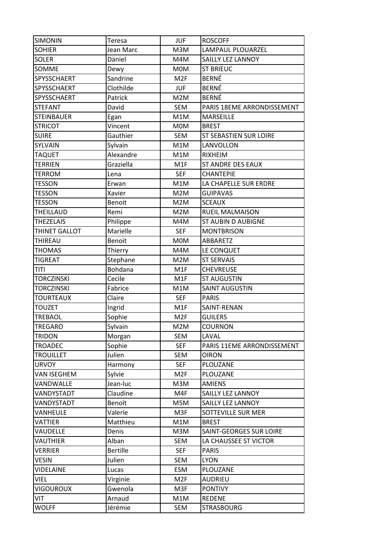| <b>SIMONIN</b>     | Teresa          | <b>JUF</b>      | <b>ROSCOFF</b>             |
|--------------------|-----------------|-----------------|----------------------------|
| <b>SOHIER</b>      | Jean Marc       | M3M             | LAMPAUL PLOUARZEL          |
| <b>SOLER</b>       | Daniel          | M4M             | SAILLY LEZ LANNOY          |
| SOMME              | Dewy            | M0M             | <b>ST BRIEUC</b>           |
| SPYSSCHAERT        | Sandrine        | M2F             | <b>BERNÉ</b>               |
| SPYSSCHAERT        | Clothilde       | <b>JUF</b>      | <b>BERNÉ</b>               |
| SPYSSCHAERT        | Patrick         | M2M             | <b>BERNÉ</b>               |
| <b>STEFANT</b>     | David           | SEM             | PARIS 18EME ARRONDISSEMENT |
| <b>STEINBAUER</b>  | Egan            | M1M             | <b>MARSEILLE</b>           |
| <b>STRICOT</b>     | Vincent         | <b>MOM</b>      | <b>BREST</b>               |
| <b>SUIRE</b>       | Gauthier        | SEM             | ST SEBASTIEN SUR LOIRE     |
| SYLVAIN            | Sylvain         | M1M             | LANVOLLON                  |
| <b>TAQUET</b>      | Alexandre       | M1M             | <b>RIXHEIM</b>             |
| <b>TERRIEN</b>     | Graziella       | M1F             | ST ANDRE DES EAUX          |
| <b>TERROM</b>      | Lena            | <b>SEF</b>      | <b>CHANTEPIE</b>           |
| <b>TESSON</b>      | Erwan           | M1M             | LA CHAPELLE SUR ERDRE      |
| <b>TESSON</b>      | Xavier          | M2M             | <b>GUIPAVAS</b>            |
| <b>TESSON</b>      | Benoit          | M2M             | <b>SCEAUX</b>              |
| THEILLAUD          | Remi            | M2M             | <b>RUEIL MALMAISON</b>     |
| <b>THEZELAIS</b>   | Philippe        | M4M             | <b>ST AUBIN D AUBIGNE</b>  |
| THINET GALLOT      | Marielle        | <b>SEF</b>      | <b>MONTBRISON</b>          |
| THIREAU            | Benoit          | <b>MOM</b>      | ABBARETZ                   |
| <b>THOMAS</b>      | Thierry         | M4M             | LE CONQUET                 |
| <b>TIGREAT</b>     | Stephane        | M2M             | <b>ST SERVAIS</b>          |
| <b>TITI</b>        | Bohdana         | M1F             | <b>CHEVREUSE</b>           |
| <b>TORCZINSKI</b>  | Cecile          | M1F             | <b>ST AUGUSTIN</b>         |
| <b>TORCZINSKI</b>  | Fabrice         | M1M             | <b>SAINT AUGUSTIN</b>      |
| <b>TOURTEAUX</b>   | Claire          | <b>SEF</b>      | <b>PARIS</b>               |
| TOUZET             | Ingrid          | M1F             | SAINT-RENAN                |
| TREBAOL            | Sophie          | M <sub>2F</sub> | <b>GUILERS</b>             |
| <b>TREGARO</b>     | Sylvain         | M2M             | <b>COURNON</b>             |
| <b>TRIDON</b>      | Morgan          | SEM             | LAVAL                      |
| <b>TROADEC</b>     | Sophie          | <b>SEF</b>      | PARIS 11EME ARRONDISSEMENT |
| <b>TROUILLET</b>   | Julien          | SEM             | <b>OIRON</b>               |
| <b>URVOY</b>       | Harmony         | <b>SEF</b>      | PLOUZANE                   |
| <b>VAN ISEGHEM</b> | Sylvie          | M <sub>2F</sub> | PLOUZANE                   |
| VANDWALLE          | Jean-luc        | M3M             | <b>AMIENS</b>              |
| VANDYSTADT         | Claudine        | M4F             | SAILLY LEZ LANNOY          |
| VANDYSTADT         | Benoït          | M5M             | SAILLY LEZ LANNOY          |
| VANHEULE           | Valerie         | M3F             | SOTTEVILLE SUR MER         |
| VATTIER            | Matthieu        | M1M             | <b>BREST</b>               |
| VAUDELLE           | Denis           | M3M             | SAINT-GEORGES SUR LOIRE    |
| VAUTHIER           | Alban           | SEM             | LA CHAUSSEE ST VICTOR      |
| <b>VERRIER</b>     | <b>Bertille</b> | <b>SEF</b>      | <b>PARIS</b>               |
| <b>VESIN</b>       | Julien          | <b>SEM</b>      | <b>LYON</b>                |
| <b>VIDELAINE</b>   | Lucas           | ESM             | PLOUZANE                   |
| VIEL               | Virginie        | M <sub>2F</sub> | <b>AUDRIEU</b>             |
| VIGOUROUX          | Gwenola         | M3F             | <b>PONTIVY</b>             |
| VIT                | Arnaud          | M1M             | <b>REDENE</b>              |
| <b>WOLFF</b>       | Jérémie         | SEM             | <b>STRASBOURG</b>          |